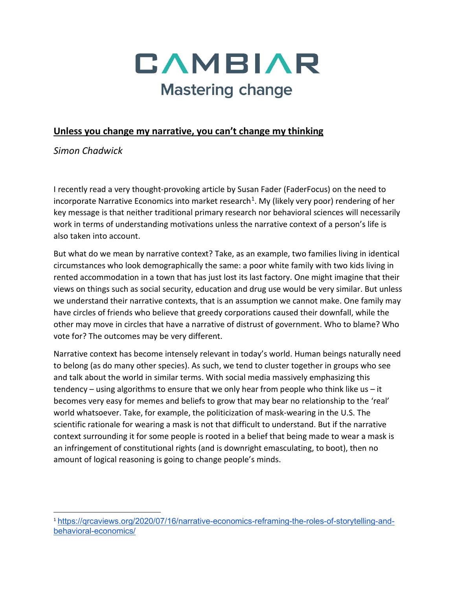

## **Unless you change my narrative, you can't change my thinking**

*Simon Chadwick*

I recently read a very thought-provoking article by Susan Fader (FaderFocus) on the need to incorporate Narrative Economics into market research<sup>1</sup>. My (likely very poor) rendering of her key message is that neither traditional primary research nor behavioral sciences will necessarily work in terms of understanding motivations unless the narrative context of a person's life is also taken into account.

But what do we mean by narrative context? Take, as an example, two families living in identical circumstances who look demographically the same: a poor white family with two kids living in rented accommodation in a town that has just lost its last factory. One might imagine that their views on things such as social security, education and drug use would be very similar. But unless we understand their narrative contexts, that is an assumption we cannot make. One family may have circles of friends who believe that greedy corporations caused their downfall, while the other may move in circles that have a narrative of distrust of government. Who to blame? Who vote for? The outcomes may be very different.

Narrative context has become intensely relevant in today's world. Human beings naturally need to belong (as do many other species). As such, we tend to cluster together in groups who see and talk about the world in similar terms. With social media massively emphasizing this tendency – using algorithms to ensure that we only hear from people who think like us – it becomes very easy for memes and beliefs to grow that may bear no relationship to the 'real' world whatsoever. Take, for example, the politicization of mask-wearing in the U.S. The scientific rationale for wearing a mask is not that difficult to understand. But if the narrative context surrounding it for some people is rooted in a belief that being made to wear a mask is an infringement of constitutional rights (and is downright emasculating, to boot), then no amount of logical reasoning is going to change people's minds.

<span id="page-0-0"></span><sup>1</sup> [https://qrcaviews.org/2020/07/16/narrative-economics-reframing-the-roles-of-storytelling-and](https://qrcaviews.org/2020/07/16/narrative-economics-reframing-the-roles-of-storytelling-and-behavioral-economics/)[behavioral-economics/](https://qrcaviews.org/2020/07/16/narrative-economics-reframing-the-roles-of-storytelling-and-behavioral-economics/)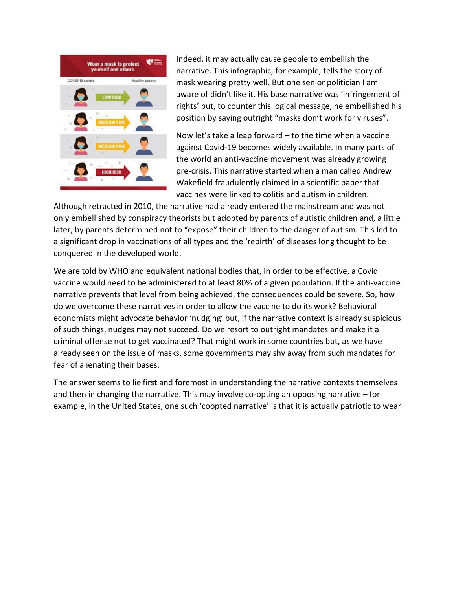

Indeed, it may actually cause people to embellish the narrative. This infographic, for example, tells the story of mask wearing pretty well. But one senior politician I am aware of didn't like it. His base narrative was 'infringement of rights' but, to counter this logical message, he embellished his position by saying outright "masks don't work for viruses".

Now let's take a leap forward – to the time when a vaccine against Covid-19 becomes widely available. In many parts of the world an anti-vaccine movement was already growing pre-crisis. This narrative started when a man called Andrew Wakefield fraudulently claimed in a scientific paper that vaccines were linked to colitis and autism in children.

Although retracted in 2010, the narrative had already entered the mainstream and was not only embellished by conspiracy theorists but adopted by parents of autistic children and, a little later, by parents determined not to "expose" their children to the danger of autism. This led to a significant drop in vaccinations of all types and the 'rebirth' of diseases long thought to be conquered in the developed world.

We are told by WHO and equivalent national bodies that, in order to be effective, a Covid vaccine would need to be administered to at least 80% of a given population. If the anti-vaccine narrative prevents that level from being achieved, the consequences could be severe. So, how do we overcome these narratives in order to allow the vaccine to do its work? Behavioral economists might advocate behavior 'nudging' but, if the narrative context is already suspicious of such things, nudges may not succeed. Do we resort to outright mandates and make it a criminal offense not to get vaccinated? That might work in some countries but, as we have already seen on the issue of masks, some governments may shy away from such mandates for fear of alienating their bases.

The answer seems to lie first and foremost in understanding the narrative contexts themselves and then in changing the narrative. This may involve co-opting an opposing narrative – for example, in the United States, one such 'coopted narrative' is that it is actually patriotic to wear